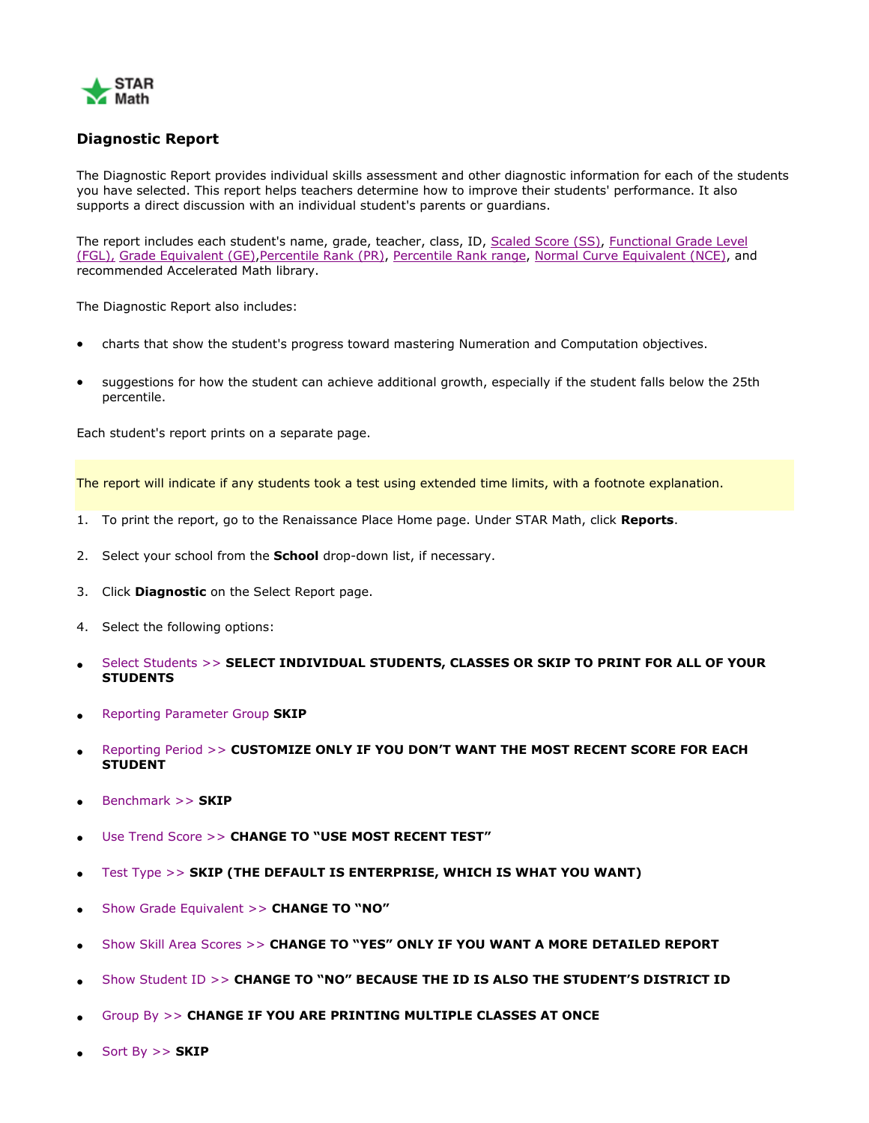

## **Diagnostic Report**

The Diagnostic Report provides individual skills assessment and other diagnostic information for each of the students you have selected. This report helps teachers determine how to improve their students' performance. It also supports a direct discussion with an individual student's parents or guardians.

The report includes each student's name, grade, teacher, class, ID, [Scaled Score \(SS\),](https://hosted325.renlearn.com/150741/help/sm/SS.htm) Functional Grade Level [\(FGL\),](https://hosted325.renlearn.com/150741/help/sm/FGL.htm) [Grade Equivalent \(GE\)](https://hosted325.renlearn.com/150741/help/sm/GE.htm)[,Percentile Rank \(PR\),](https://hosted325.renlearn.com/150741/help/sm/PR.htm) [Percentile Rank range,](https://hosted325.renlearn.com/150741/help/sm/PR.htm) [Normal Curve Equivalent \(NCE\),](https://hosted325.renlearn.com/150741/help/sm/NCE.htm) and recommended Accelerated Math library.

The Diagnostic Report also includes:

- charts that show the student's progress toward mastering Numeration and Computation objectives.
- suggestions for how the student can achieve additional growth, especially if the student falls below the 25th percentile.

Each student's report prints on a separate page.

The report will indicate if any students took a test using extended time limits, with a footnote explanation.

- 1. To print the report, go to the Renaissance Place Home page. Under STAR Math, click **Reports**.
- 2. Select your school from the **School** drop-down list, if necessary.
- 3. Click **Diagnostic** on the Select Report page.
- 4. Select the following options:
- [Select Students >>](javascript:TextPopup(this)) **SELECT INDIVIDUAL STUDENTS, CLASSES OR SKIP TO PRINT FOR ALL OF YOUR STUDENTS**
- [Reporting Parameter Group](https://hosted325.renlearn.com/150741/help/sm/Aboutrpgs.htm) **SKIP**
- [Reporting Period >>](javascript:TextPopup(this)) **CUSTOMIZE ONLY IF YOU DON'T WANT THE MOST RECENT SCORE FOR EACH STUDENT**
- [Benchmark >>](javascript:TextPopup(this)) **SKIP**
- [Use Trend Score >>](javascript:TextPopup(this)) **CHANGE TO "USE MOST RECENT TEST"**
- [Test Type >>](javascript:TextPopup(this)) **SKIP (THE DEFAULT IS ENTERPRISE, WHICH IS WHAT YOU WANT)**
- [Show Grade Equivalent >>](javascript:TextPopup(this)) **CHANGE TO "NO"**
- [Show Skill Area Scores >>](javascript:TextPopup(this)) **CHANGE TO "YES" ONLY IF YOU WANT A MORE DETAILED REPORT**
- [Show Student ID >>](javascript:TextPopup(this)) **CHANGE TO "NO" BECAUSE THE ID IS ALSO THE STUDENT'S DISTRICT ID**
- [Group By >>](javascript:TextPopup(this)) **CHANGE IF YOU ARE PRINTING MULTIPLE CLASSES AT ONCE**
- [Sort By >>](javascript:TextPopup(this)) **SKIP**